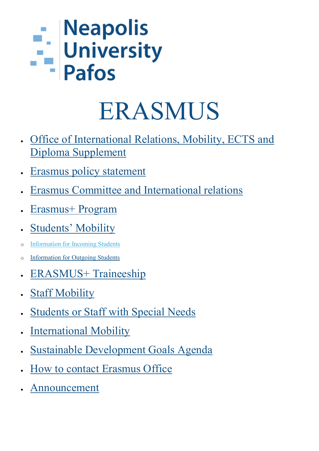## - Neapolis<br>- University<br>Pafos

### ERASMUS

- [Office of International Relations, Mobility, ECTS and](https://www.nup.ac.cy/study-in-cyprus/office-of-international-relations-mobility-ects-and-diploma-supplement/)  [Diploma Supplement](https://www.nup.ac.cy/study-in-cyprus/office-of-international-relations-mobility-ects-and-diploma-supplement/)
- **[Erasmus policy statement](https://www.nup.ac.cy/study-in-cyprus/erasmus-policy-statement/)**
- [Erasmus Committee and International relations](https://www.nup.ac.cy/study-in-cyprus/erasmus-committee-on-international-relations/)
- [Erasmus+ Program](https://www.nup.ac.cy/study-in-cyprus/erasmus-program/)
- **[Students' Mobility](https://www.nup.ac.cy/study-in-cyprus/students-mobility/)**
- [Information for Incoming](https://www.nup.ac.cy/study-in-cyprus/information-for-incoming-students/) Students
- o [Information for Outgoing Students](https://www.nup.ac.cy/study-in-cyprus/information-for-outgoing-students/)
- [ERASMUS+ Traineeship](https://www.nup.ac.cy/study-in-cyprus/erasmus-traineeship/)
- **[Staff Mobility](https://www.nup.ac.cy/study-in-cyprus/staff-mobility/)**
- [Students or Staff with Special Needs](https://www.nup.ac.cy/study-in-cyprus/students-or-staff-with-special-needs/)
- **[International Mobility](https://www.nup.ac.cy/study-in-cyprus/international-mobility/)**
- [Sustainable Development Goals Agenda](https://www.nup.ac.cy/study-in-cyprus/sustainable-development-goals-agenda/)
- [How to contact Erasmus Office](https://www.nup.ac.cy/study-in-cyprus/how-to-contact-erasmus-office/)
- [Announcement](https://www.nup.ac.cy/study-in-cyprus/announcement/)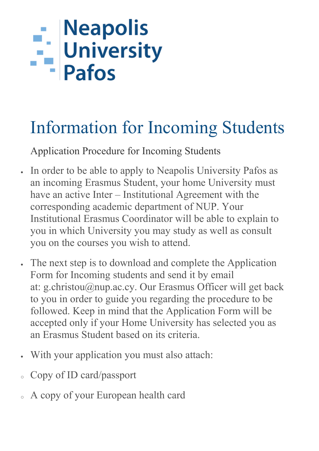# - Neapolis<br>- University<br>- Pafos

### Information for Incoming Students

Application Procedure for Incoming Students

- In order to be able to apply to Neapolis University Pafos as an incoming Erasmus Student, your home University must have an active Inter – Institutional Agreement with the corresponding academic department of NUP. Your Institutional Erasmus Coordinator will be able to explain to you in which University you may study as well as consult you on the courses you wish to attend.
- The next step is to download and complete the Application Form for Incoming students and send it by email at: g.christou@nup.ac.cy. Our Erasmus Officer will get back to you in order to guide you regarding the procedure to be followed. Keep in mind that the Application Form will be accepted only if your Home University has selected you as an Erasmus Student based on its criteria.
- With your application you must also attach:
- Copy of ID card/passport
- A copy of your European health card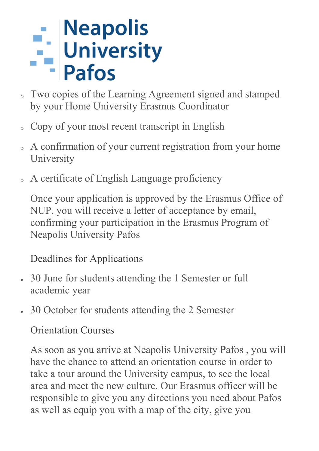## - Neapolis<br>- University<br>- Pafos

- Two copies of the Learning Agreement signed and stamped by your Home University Erasmus Coordinator
- Copy of your most recent transcript in English
- A confirmation of your current registration from your home University
- <sup>o</sup> A certificate of English Language proficiency

Once your application is approved by the Erasmus Office of NUP, you will receive a letter of acceptance by email, confirming your participation in the Erasmus Program of Neapolis University Pafos

#### Deadlines for Applications

- 30 June for students attending the 1 Semester or full academic year
- 30 October for students attending the 2 Semester

#### Orientation Courses

As soon as you arrive at Neapolis University Pafos , you will have the chance to attend an orientation course in order to take a tour around the University campus, to see the local area and meet the new culture. Our Erasmus officer will be responsible to give you any directions you need about Pafos as well as equip you with a map of the city, give you